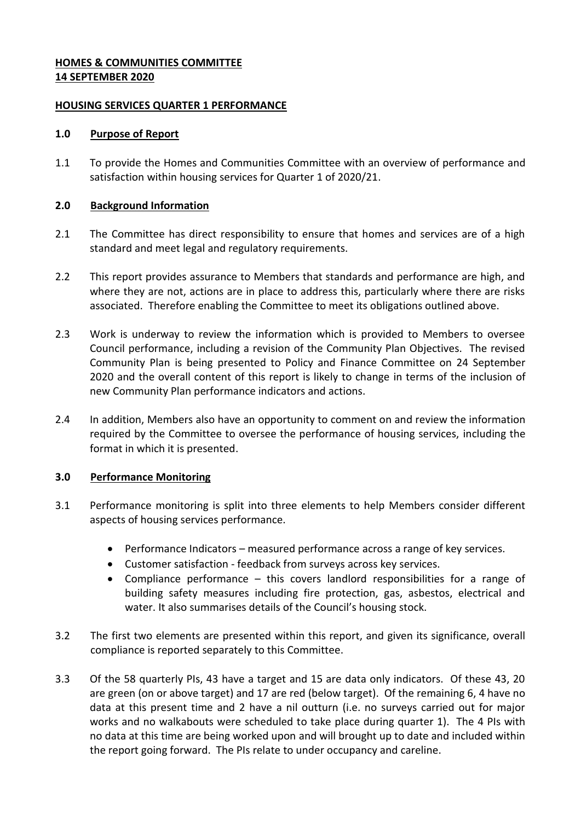### **HOMES & COMMUNITIES COMMITTEE 14 SEPTEMBER 2020**

### **HOUSING SERVICES QUARTER 1 PERFORMANCE**

### **1.0 Purpose of Report**

1.1 To provide the Homes and Communities Committee with an overview of performance and satisfaction within housing services for Quarter 1 of 2020/21.

# **2.0 Background Information**

- 2.1 The Committee has direct responsibility to ensure that homes and services are of a high standard and meet legal and regulatory requirements.
- 2.2 This report provides assurance to Members that standards and performance are high, and where they are not, actions are in place to address this, particularly where there are risks associated. Therefore enabling the Committee to meet its obligations outlined above.
- 2.3 Work is underway to review the information which is provided to Members to oversee Council performance, including a revision of the Community Plan Objectives. The revised Community Plan is being presented to Policy and Finance Committee on 24 September 2020 and the overall content of this report is likely to change in terms of the inclusion of new Community Plan performance indicators and actions.
- 2.4 In addition, Members also have an opportunity to comment on and review the information required by the Committee to oversee the performance of housing services, including the format in which it is presented.

# **3.0 Performance Monitoring**

- 3.1 Performance monitoring is split into three elements to help Members consider different aspects of housing services performance.
	- Performance Indicators measured performance across a range of key services.
	- Customer satisfaction feedback from surveys across key services.
	- Compliance performance this covers landlord responsibilities for a range of building safety measures including fire protection, gas, asbestos, electrical and water. It also summarises details of the Council's housing stock.
- 3.2 The first two elements are presented within this report, and given its significance, overall compliance is reported separately to this Committee.
- 3.3 Of the 58 quarterly PIs, 43 have a target and 15 are data only indicators. Of these 43, 20 are green (on or above target) and 17 are red (below target). Of the remaining 6, 4 have no data at this present time and 2 have a nil outturn (i.e. no surveys carried out for major works and no walkabouts were scheduled to take place during quarter 1). The 4 PIs with no data at this time are being worked upon and will brought up to date and included within the report going forward. The PIs relate to under occupancy and careline.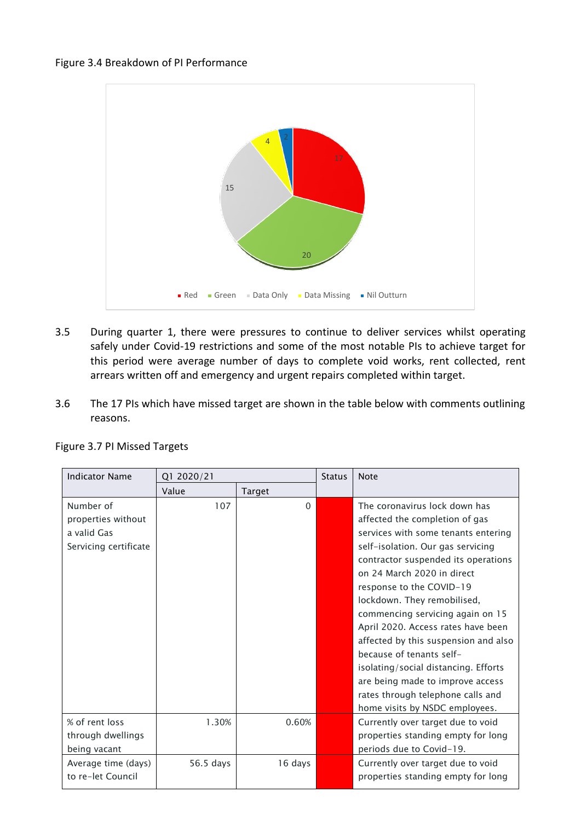#### Figure 3.4 Breakdown of PI Performance



- 3.5 During quarter 1, there were pressures to continue to deliver services whilst operating safely under Covid-19 restrictions and some of the most notable PIs to achieve target for this period were average number of days to complete void works, rent collected, rent arrears written off and emergency and urgent repairs completed within target.
- 3.6 The 17 PIs which have missed target are shown in the table below with comments outlining reasons.

| <b>Indicator Name</b> | Q1 2020/21 |          | <b>Status</b> | <b>Note</b>                          |
|-----------------------|------------|----------|---------------|--------------------------------------|
|                       | Value      | Target   |               |                                      |
| Number of             | 107        | $\Omega$ |               | The coronavirus lock down has        |
| properties without    |            |          |               | affected the completion of gas       |
| a valid Gas           |            |          |               | services with some tenants entering  |
| Servicing certificate |            |          |               | self-isolation. Our gas servicing    |
|                       |            |          |               | contractor suspended its operations  |
|                       |            |          |               | on 24 March 2020 in direct           |
|                       |            |          |               | response to the COVID-19             |
|                       |            |          |               | lockdown. They remobilised,          |
|                       |            |          |               | commencing servicing again on 15     |
|                       |            |          |               | April 2020. Access rates have been   |
|                       |            |          |               | affected by this suspension and also |
|                       |            |          |               | because of tenants self-             |
|                       |            |          |               | isolating/social distancing. Efforts |
|                       |            |          |               | are being made to improve access     |
|                       |            |          |               | rates through telephone calls and    |
|                       |            |          |               | home visits by NSDC employees.       |
| % of rent loss        | 1.30%      | 0.60%    |               | Currently over target due to void    |
| through dwellings     |            |          |               | properties standing empty for long   |
| being vacant          |            |          |               | periods due to Covid-19.             |
| Average time (days)   | 56.5 days  | 16 days  |               | Currently over target due to void    |
| to re-let Council     |            |          |               | properties standing empty for long   |

### Figure 3.7 PI Missed Targets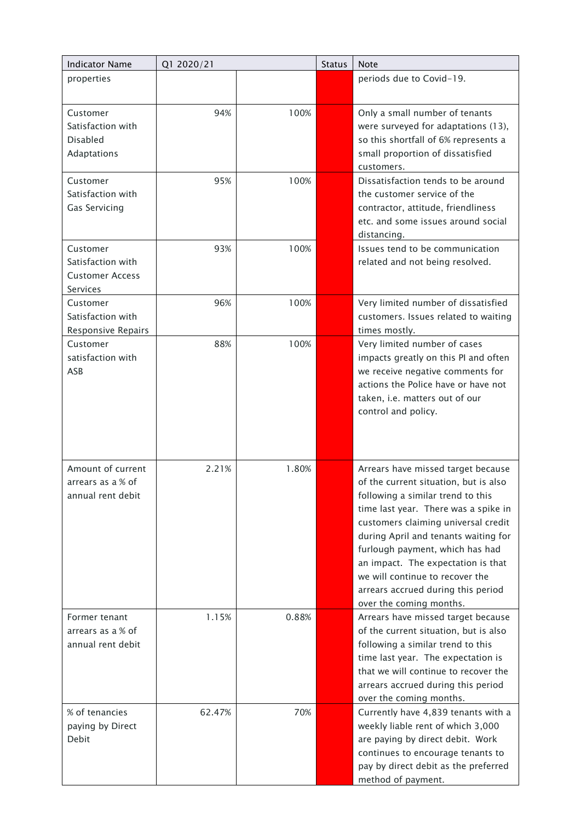| <b>Indicator Name</b>                                               | Q1 2020/21 |       | <b>Status</b> | <b>Note</b>                                                                                                                                                                                                                                                                                                                                                                                                          |  |
|---------------------------------------------------------------------|------------|-------|---------------|----------------------------------------------------------------------------------------------------------------------------------------------------------------------------------------------------------------------------------------------------------------------------------------------------------------------------------------------------------------------------------------------------------------------|--|
| properties                                                          |            |       |               | periods due to Covid-19.                                                                                                                                                                                                                                                                                                                                                                                             |  |
|                                                                     |            |       |               |                                                                                                                                                                                                                                                                                                                                                                                                                      |  |
| Customer<br>Satisfaction with<br><b>Disabled</b>                    | 94%        | 100%  |               | Only a small number of tenants<br>were surveyed for adaptations (13),<br>so this shortfall of 6% represents a                                                                                                                                                                                                                                                                                                        |  |
| Adaptations                                                         |            |       |               | small proportion of dissatisfied<br>customers.                                                                                                                                                                                                                                                                                                                                                                       |  |
| Customer<br>Satisfaction with<br>Gas Servicing                      | 95%        | 100%  |               | Dissatisfaction tends to be around<br>the customer service of the<br>contractor, attitude, friendliness<br>etc. and some issues around social<br>distancing.                                                                                                                                                                                                                                                         |  |
| Customer<br>Satisfaction with<br><b>Customer Access</b><br>Services | 93%        | 100%  |               | Issues tend to be communication<br>related and not being resolved.                                                                                                                                                                                                                                                                                                                                                   |  |
| Customer<br>Satisfaction with<br>Responsive Repairs                 | 96%        | 100%  |               | Very limited number of dissatisfied<br>customers. Issues related to waiting<br>times mostly.                                                                                                                                                                                                                                                                                                                         |  |
| Customer<br>satisfaction with<br>ASB                                | 88%        | 100%  |               | Very limited number of cases<br>impacts greatly on this PI and often<br>we receive negative comments for<br>actions the Police have or have not<br>taken, i.e. matters out of our<br>control and policy.                                                                                                                                                                                                             |  |
| Amount of current<br>arrears as a % of<br>annual rent debit         | 2.21%      | 1.80% |               | Arrears have missed target because<br>of the current situation, but is also<br>following a similar trend to this<br>time last year. There was a spike in<br>customers claiming universal credit<br>during April and tenants waiting for<br>furlough payment, which has had<br>an impact. The expectation is that<br>we will continue to recover the<br>arrears accrued during this period<br>over the coming months. |  |
| Former tenant<br>arrears as a % of<br>annual rent debit             | 1.15%      | 0.88% |               | Arrears have missed target because<br>of the current situation, but is also<br>following a similar trend to this<br>time last year. The expectation is<br>that we will continue to recover the<br>arrears accrued during this period<br>over the coming months.                                                                                                                                                      |  |
| % of tenancies<br>paying by Direct<br>Debit                         | 62.47%     | 70%   |               | Currently have 4,839 tenants with a<br>weekly liable rent of which 3,000<br>are paying by direct debit. Work<br>continues to encourage tenants to<br>pay by direct debit as the preferred<br>method of payment.                                                                                                                                                                                                      |  |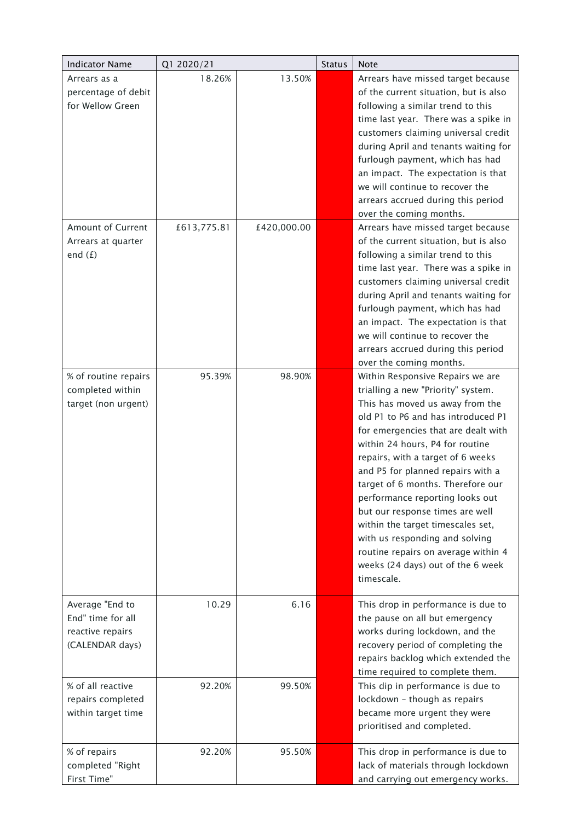| <b>Indicator Name</b>                                                       | Q1 2020/21  |             | <b>Status</b> | <b>Note</b>                                                                                                                                                                                                                                                                                                                                                                                                                                                                                                                                                                     |
|-----------------------------------------------------------------------------|-------------|-------------|---------------|---------------------------------------------------------------------------------------------------------------------------------------------------------------------------------------------------------------------------------------------------------------------------------------------------------------------------------------------------------------------------------------------------------------------------------------------------------------------------------------------------------------------------------------------------------------------------------|
| Arrears as a<br>percentage of debit<br>for Wellow Green                     | 18.26%      | 13.50%      |               | Arrears have missed target because<br>of the current situation, but is also<br>following a similar trend to this<br>time last year. There was a spike in<br>customers claiming universal credit<br>during April and tenants waiting for<br>furlough payment, which has had<br>an impact. The expectation is that<br>we will continue to recover the<br>arrears accrued during this period<br>over the coming months.                                                                                                                                                            |
| <b>Amount of Current</b><br>Arrears at quarter<br>end $(f)$                 | £613,775.81 | £420,000.00 |               | Arrears have missed target because<br>of the current situation, but is also<br>following a similar trend to this<br>time last year. There was a spike in<br>customers claiming universal credit<br>during April and tenants waiting for<br>furlough payment, which has had<br>an impact. The expectation is that<br>we will continue to recover the<br>arrears accrued during this period<br>over the coming months.                                                                                                                                                            |
| % of routine repairs<br>completed within<br>target (non urgent)             | 95.39%      | 98.90%      |               | Within Responsive Repairs we are<br>trialling a new "Priority" system.<br>This has moved us away from the<br>old P1 to P6 and has introduced P1<br>for emergencies that are dealt with<br>within 24 hours, P4 for routine<br>repairs, with a target of 6 weeks<br>and P5 for planned repairs with a<br>target of 6 months. Therefore our<br>performance reporting looks out<br>but our response times are well<br>within the target timescales set,<br>with us responding and solving<br>routine repairs on average within 4<br>weeks (24 days) out of the 6 week<br>timescale. |
| Average "End to<br>End" time for all<br>reactive repairs<br>(CALENDAR days) | 10.29       | 6.16        |               | This drop in performance is due to<br>the pause on all but emergency<br>works during lockdown, and the<br>recovery period of completing the<br>repairs backlog which extended the<br>time required to complete them.                                                                                                                                                                                                                                                                                                                                                            |
| % of all reactive<br>repairs completed<br>within target time                | 92.20%      | 99.50%      |               | This dip in performance is due to<br>lockdown - though as repairs<br>became more urgent they were<br>prioritised and completed.                                                                                                                                                                                                                                                                                                                                                                                                                                                 |
| % of repairs<br>completed "Right<br>First Time"                             | 92.20%      | 95.50%      |               | This drop in performance is due to<br>lack of materials through lockdown<br>and carrying out emergency works.                                                                                                                                                                                                                                                                                                                                                                                                                                                                   |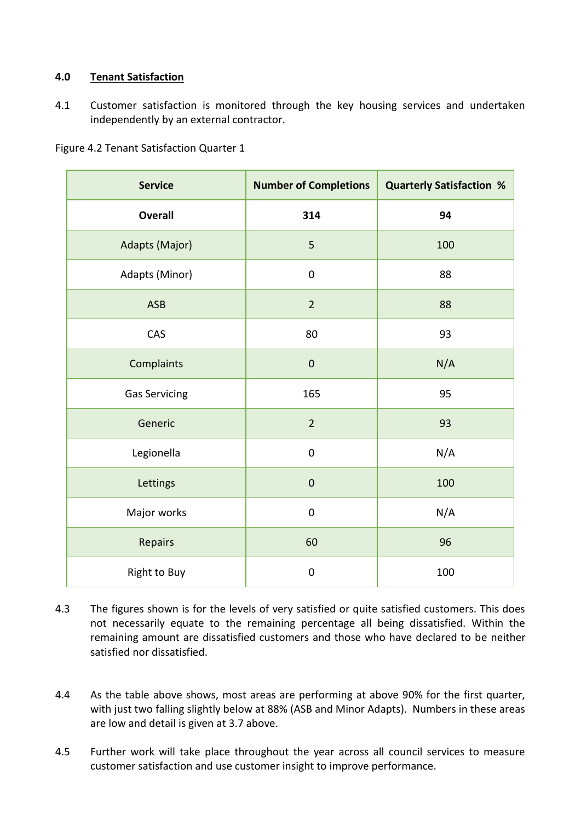# **4.0 Tenant Satisfaction**

4.1 Customer satisfaction is monitored through the key housing services and undertaken independently by an external contractor.

Figure 4.2 Tenant Satisfaction Quarter 1

| <b>Service</b>       | <b>Number of Completions</b> | <b>Quarterly Satisfaction %</b> |
|----------------------|------------------------------|---------------------------------|
| <b>Overall</b>       | 314                          | 94                              |
| Adapts (Major)       | 5                            | 100                             |
| Adapts (Minor)       | $\pmb{0}$                    | 88                              |
| ASB                  | $\overline{2}$               | 88                              |
| CAS                  | 80                           | 93                              |
| Complaints           | $\pmb{0}$                    | N/A                             |
| <b>Gas Servicing</b> | 165                          | 95                              |
| Generic              | $\overline{2}$               | 93                              |
| Legionella           | $\mathbf 0$                  | N/A                             |
| Lettings             | $\boldsymbol{0}$             | 100                             |
| Major works          | $\pmb{0}$                    | N/A                             |
| Repairs              | 60                           | 96                              |
| Right to Buy         | $\pmb{0}$                    | 100                             |

- 4.3 The figures shown is for the levels of very satisfied or quite satisfied customers. This does not necessarily equate to the remaining percentage all being dissatisfied. Within the remaining amount are dissatisfied customers and those who have declared to be neither satisfied nor dissatisfied.
- 4.4 As the table above shows, most areas are performing at above 90% for the first quarter, with just two falling slightly below at 88% (ASB and Minor Adapts). Numbers in these areas are low and detail is given at 3.7 above.
- 4.5 Further work will take place throughout the year across all council services to measure customer satisfaction and use customer insight to improve performance.